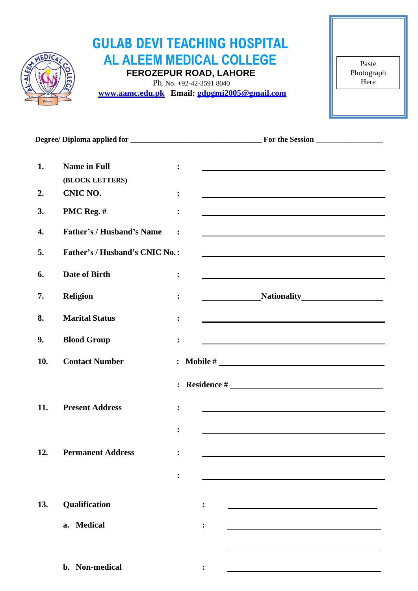

# **GULAB DEVI TEACHING HOSPITAL AL ALEEM MEDICAL COLLEGE FEROZEPUR ROAD, LAHORE**

 Ph. No. +92-42-3591 8040  **[www.aamc.edu.pk](http://www.aamc.edu.pk/) Email: [gdpgmi2005@gmail.com](mailto:gdpgmi2005@gmail.com)**

Paste Photograph Here

| 1.  | <b>Name in Full</b>              | :              |                                                                                                                                                                                                                               |
|-----|----------------------------------|----------------|-------------------------------------------------------------------------------------------------------------------------------------------------------------------------------------------------------------------------------|
|     | (BLOCK LETTERS)                  |                |                                                                                                                                                                                                                               |
| 2.  | CNIC NO.                         | :              |                                                                                                                                                                                                                               |
| 3.  | PMC Reg. #                       | $\ddot{\cdot}$ |                                                                                                                                                                                                                               |
| 4.  | <b>Father's / Husband's Name</b> | :              |                                                                                                                                                                                                                               |
| 5.  | Father's / Husband's CNIC No.:   |                |                                                                                                                                                                                                                               |
| 6.  | Date of Birth                    | :              |                                                                                                                                                                                                                               |
| 7.  | Religion                         | :              | Nationality Mathematic Service Contractor Contractor Contractor Contractor Contractor Contractor Contractor Co                                                                                                                |
| 8.  | <b>Marital Status</b>            | $\ddot{\cdot}$ |                                                                                                                                                                                                                               |
| 9.  | <b>Blood Group</b>               | :              |                                                                                                                                                                                                                               |
| 10. | <b>Contact Number</b>            |                | $\therefore$ Mobile #                                                                                                                                                                                                         |
|     |                                  |                | $\therefore$ Residence #                                                                                                                                                                                                      |
| 11. | <b>Present Address</b>           | :              | the control of the control of the control of the control of the control of the control of the control of the control of the control of the control of the control of the control of the control of the control of the control |
|     |                                  | $\ddot{\cdot}$ |                                                                                                                                                                                                                               |
| 12. | <b>Permanent Address</b>         | $\ddot{\cdot}$ |                                                                                                                                                                                                                               |
|     |                                  |                |                                                                                                                                                                                                                               |
|     |                                  | $\ddot{\cdot}$ |                                                                                                                                                                                                                               |
| 13. | Qualification                    |                | $\ddot{\cdot}$                                                                                                                                                                                                                |
|     | a. Medical                       |                | $\ddot{\cdot}$                                                                                                                                                                                                                |
|     |                                  |                |                                                                                                                                                                                                                               |
|     | b. Non-medical                   |                |                                                                                                                                                                                                                               |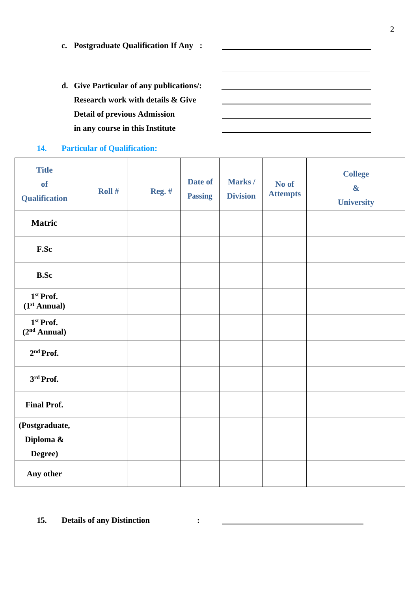**c. Postgraduate Qualification If Any :**

**d. Give Particular of any publications/: Research work with details & Give Detail of previous Admission in any course in this Institute**

### **14. Particular of Qualification:**

| <b>Title</b><br><b>of</b><br><b>Qualification</b> | Roll # | <b>Reg. #</b> | Date of<br><b>Passing</b> | Marks/<br><b>Division</b> | No of<br><b>Attempts</b> | <b>College</b><br>$\boldsymbol{\alpha}$<br>University |
|---------------------------------------------------|--------|---------------|---------------------------|---------------------------|--------------------------|-------------------------------------------------------|
| <b>Matric</b>                                     |        |               |                           |                           |                          |                                                       |
| F.Sc                                              |        |               |                           |                           |                          |                                                       |
| <b>B.Sc</b>                                       |        |               |                           |                           |                          |                                                       |
| 1st Prof.<br>(1 <sup>st</sup> Annual)             |        |               |                           |                           |                          |                                                       |
| 1st Prof.<br>(2 <sup>nd</sup> Annual)             |        |               |                           |                           |                          |                                                       |
| 2 <sup>nd</sup> Prof.                             |        |               |                           |                           |                          |                                                       |
| 3rd Prof.                                         |        |               |                           |                           |                          |                                                       |
| <b>Final Prof.</b>                                |        |               |                           |                           |                          |                                                       |
| (Postgraduate,<br>Diploma &<br>Degree)            |        |               |                           |                           |                          |                                                       |
| Any other                                         |        |               |                           |                           |                          |                                                       |

## **15. Details of any Distinction :**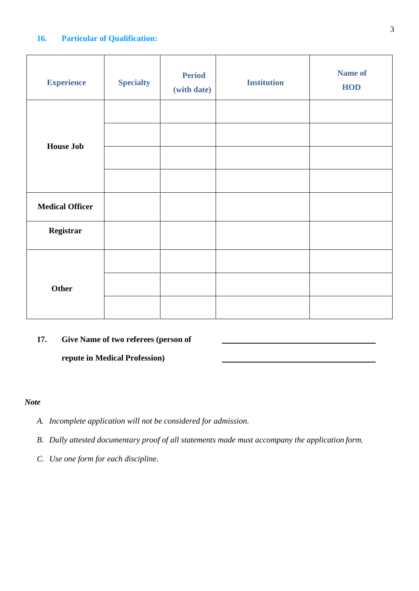#### **16. Particular of Qualification:**

| <b>Experience</b>      | <b>Specialty</b> | <b>Period</b><br>(with date) | <b>Institution</b> | <b>Name of</b><br><b>HOD</b> |
|------------------------|------------------|------------------------------|--------------------|------------------------------|
|                        |                  |                              |                    |                              |
| <b>House Job</b>       |                  |                              |                    |                              |
|                        |                  |                              |                    |                              |
|                        |                  |                              |                    |                              |
| <b>Medical Officer</b> |                  |                              |                    |                              |
| Registrar              |                  |                              |                    |                              |
|                        |                  |                              |                    |                              |
| Other                  |                  |                              |                    |                              |
|                        |                  |                              |                    |                              |

# **17. Give Name of two referees (person of**

**repute in Medical Profession)**

### *Note*

- *A. Incomplete application will not be considered for admission.*
- *B. Dully attested documentary proof of all statements made must accompany the application form.*
- *C. Use one form for each discipline.*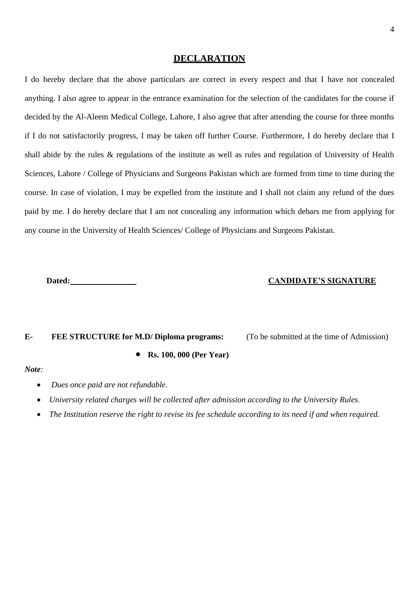#### **DECLARATION**

I do hereby declare that the above particulars are correct in every respect and that I have not concealed anything. I also agree to appear in the entrance examination for the selection of the candidates for the course if decided by the Al-Aleem Medical College, Lahore, I also agree that after attending the course for three months if I do not satisfactorily progress, I may be taken off further Course. Furthermore, I do hereby declare that I shall abide by the rules & regulations of the institute as well as rules and regulation of University of Health Sciences, Lahore / College of Physicians and Surgeons Pakistan which are formed from time to time during the course. In case of violation, I may be expelled from the institute and I shall not claim any refund of the dues paid by me. I do hereby declare that I am not concealing any information which debars me from applying for any course in the University of Health Sciences/ College of Physicians and Surgeons Pakistan.

#### **Dated: CANDIDATE'S SIGNATURE**

# **E- FEE STRUCTURE for M.D/ Diploma programs:** (To be submitted at the time of Admission)

• **Rs. 100, 000 (Per Year)**

#### *Note:*

- *Dues once paid are not refundable.*
- *University related charges will be collected after admission according to the University Rules.*
- *The Institution reserve the right to revise its fee schedule according to its need if and when required.*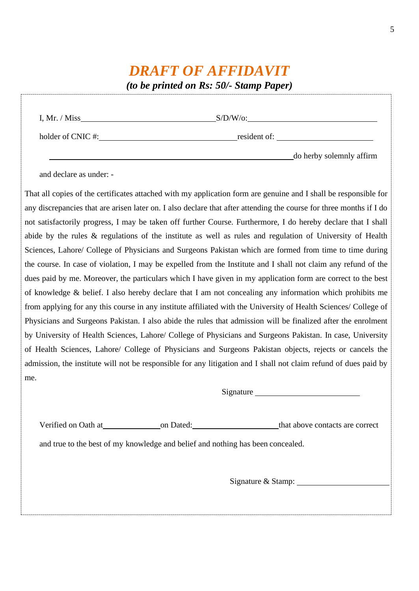# *DRAFT OF AFFIDAVIT*

*(to be printed on Rs: 50/- Stamp Paper)*

| I, Mr. / Miss     | $S/D/W$ /o:              |  |
|-------------------|--------------------------|--|
| holder of CNIC #: | resident of:             |  |
|                   | do herby solemnly affirm |  |

and declare as under: -

That all copies of the certificates attached with my application form are genuine and I shall be responsible for any discrepancies that are arisen later on. I also declare that after attending the course for three months if I do not satisfactorily progress, I may be taken off further Course. Furthermore, I do hereby declare that I shall abide by the rules & regulations of the institute as well as rules and regulation of University of Health Sciences, Lahore/ College of Physicians and Surgeons Pakistan which are formed from time to time during the course. In case of violation, I may be expelled from the Institute and I shall not claim any refund of the dues paid by me. Moreover, the particulars which I have given in my application form are correct to the best of knowledge & belief. I also hereby declare that I am not concealing any information which prohibits me from applying for any this course in any institute affiliated with the University of Health Sciences/ College of Physicians and Surgeons Pakistan. I also abide the rules that admission will be finalized after the enrolment by University of Health Sciences, Lahore/ College of Physicians and Surgeons Pakistan. In case, University of Health Sciences, Lahore/ College of Physicians and Surgeons Pakistan objects, rejects or cancels the admission, the institute will not be responsible for any litigation and I shall not claim refund of dues paid by me.

Signature Signature Signature Signature Signature Signature Signature Signature Signature Signature Signature Signature Signature Signature Signature Signature Signature Signature Signature Signature Signature Signature Si

| Verified on Oath at | on Dated: | that above contacts are correct |
|---------------------|-----------|---------------------------------|
|---------------------|-----------|---------------------------------|

and true to the best of my knowledge and belief and nothing has been concealed.

Signature & Stamp: